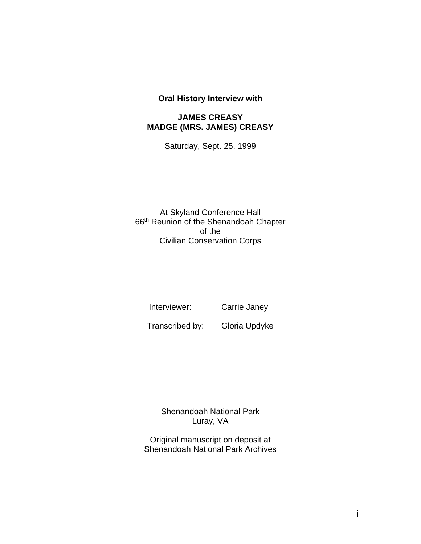### **Oral History Interview with**

#### **JAMES CREASY MADGE (MRS. JAMES) CREASY**

Saturday, Sept. 25, 1999

At Skyland Conference Hall 66th Reunion of the Shenandoah Chapter of the Civilian Conservation Corps

Interviewer: Carrie Janey

Transcribed by: Gloria Updyke

Shenandoah National Park Luray, VA

Original manuscript on deposit at Shenandoah National Park Archives

i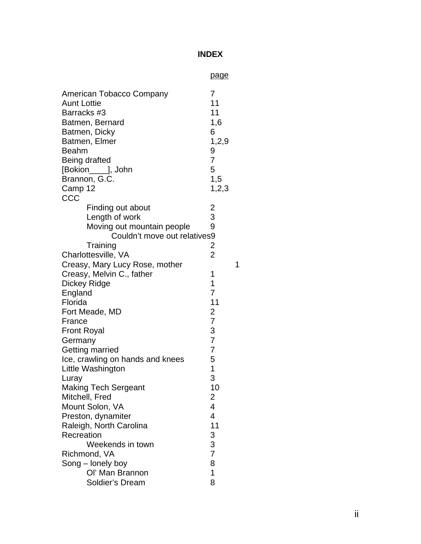# **INDEX**

|                                                                                                                                                                                                               | <u>page</u>                                                                    |   |
|---------------------------------------------------------------------------------------------------------------------------------------------------------------------------------------------------------------|--------------------------------------------------------------------------------|---|
| American Tobacco Company<br><b>Aunt Lottie</b><br>Barracks #3<br>Batmen, Bernard<br>Batmen, Dicky<br>Batmen, Elmer<br><b>Beahm</b><br>Being drafted<br>[Bokion_____], John<br>Brannon, G.C.<br>Camp 12<br>CCC | 7<br>11<br>11<br>1,6<br>6<br>1,2,9<br>9<br>$\overline{7}$<br>5<br>1,5<br>1,2,3 |   |
| Finding out about                                                                                                                                                                                             | $\overline{\mathbf{c}}$                                                        |   |
| Length of work                                                                                                                                                                                                | 3                                                                              |   |
| Moving out mountain people                                                                                                                                                                                    | 9                                                                              |   |
| Couldn't move out relatives9                                                                                                                                                                                  |                                                                                |   |
| Training                                                                                                                                                                                                      | $\overline{\mathbf{c}}$                                                        |   |
| Charlottesville, VA                                                                                                                                                                                           | $\overline{2}$                                                                 |   |
| Creasy, Mary Lucy Rose, mother                                                                                                                                                                                |                                                                                | 1 |
| Creasy, Melvin C., father                                                                                                                                                                                     | 1                                                                              |   |
| <b>Dickey Ridge</b>                                                                                                                                                                                           | 1                                                                              |   |
| England                                                                                                                                                                                                       | $\overline{7}$                                                                 |   |
| Florida                                                                                                                                                                                                       | 11                                                                             |   |
| Fort Meade, MD                                                                                                                                                                                                | $\overline{c}$                                                                 |   |
| France                                                                                                                                                                                                        | $\overline{7}$                                                                 |   |
| <b>Front Royal</b>                                                                                                                                                                                            | 3                                                                              |   |
| Germany                                                                                                                                                                                                       | $\overline{7}$                                                                 |   |
| Getting married                                                                                                                                                                                               | $\overline{7}$                                                                 |   |
| Ice, crawling on hands and knees                                                                                                                                                                              | 5                                                                              |   |
| Little Washington                                                                                                                                                                                             | $\overline{1}$                                                                 |   |
| Luray                                                                                                                                                                                                         | 3                                                                              |   |
| <b>Making Tech Sergeant</b>                                                                                                                                                                                   | 10                                                                             |   |
| Mitchell, Fred                                                                                                                                                                                                | $\overline{\mathbf{c}}$                                                        |   |
| Mount Solon, VA                                                                                                                                                                                               | $\overline{\mathbf{4}}$                                                        |   |
| Preston, dynamiter                                                                                                                                                                                            | 4                                                                              |   |
| Raleigh, North Carolina                                                                                                                                                                                       | 11                                                                             |   |
| Recreation                                                                                                                                                                                                    | 3                                                                              |   |
| Weekends in town                                                                                                                                                                                              | $rac{3}{7}$                                                                    |   |
| Richmond, VA                                                                                                                                                                                                  |                                                                                |   |
| Song - lonely boy                                                                                                                                                                                             | 8                                                                              |   |
| Ol' Man Brannon                                                                                                                                                                                               | 1                                                                              |   |
| Soldier's Dream                                                                                                                                                                                               | 8                                                                              |   |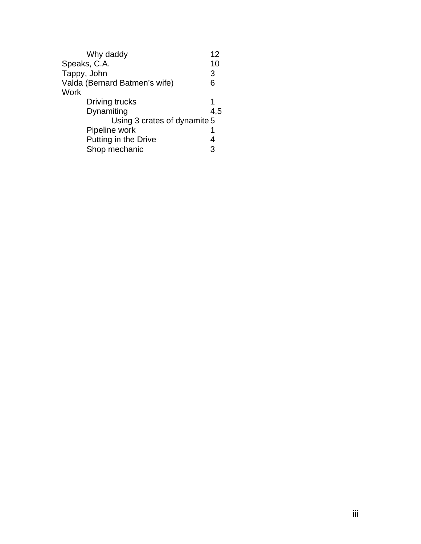| Why daddy                     | 12  |
|-------------------------------|-----|
| Speaks, C.A.                  | 10  |
| Tappy, John                   | 3   |
| Valda (Bernard Batmen's wife) | 6   |
| Work                          |     |
| Driving trucks                | 1   |
| Dynamiting                    | 4,5 |
| Using 3 crates of dynamite 5  |     |
| Pipeline work                 |     |
| Putting in the Drive          | 4   |
| Shop mechanic                 | 3   |
|                               |     |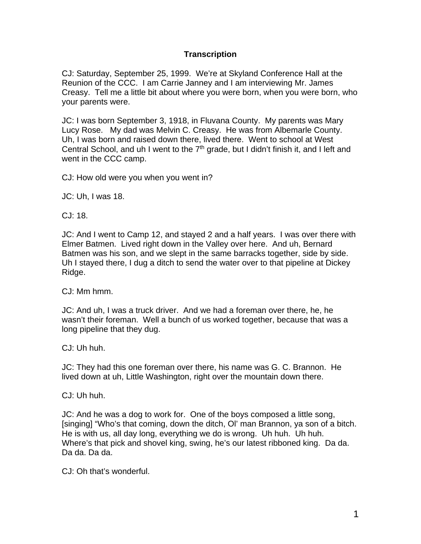## **Transcription**

CJ: Saturday, September 25, 1999. We're at Skyland Conference Hall at the Reunion of the CCC. I am Carrie Janney and I am interviewing Mr. James Creasy. Tell me a little bit about where you were born, when you were born, who your parents were.

JC: I was born September 3, 1918, in Fluvana County. My parents was Mary Lucy Rose. My dad was Melvin C. Creasy. He was from Albemarle County. Uh, I was born and raised down there, lived there. Went to school at West Central School, and uh I went to the  $7<sup>th</sup>$  grade, but I didn't finish it, and I left and went in the CCC camp.

CJ: How old were you when you went in?

JC: Uh, I was 18.

CJ: 18.

JC: And I went to Camp 12, and stayed 2 and a half years. I was over there with Elmer Batmen. Lived right down in the Valley over here. And uh, Bernard Batmen was his son, and we slept in the same barracks together, side by side. Uh I stayed there, I dug a ditch to send the water over to that pipeline at Dickey Ridge.

CJ: Mm hmm.

JC: And uh, I was a truck driver. And we had a foreman over there, he, he wasn't their foreman. Well a bunch of us worked together, because that was a long pipeline that they dug.

CJ: Uh huh.

JC: They had this one foreman over there, his name was G. C. Brannon. He lived down at uh, Little Washington, right over the mountain down there.

CJ: Uh huh.

JC: And he was a dog to work for. One of the boys composed a little song, [singing] "Who's that coming, down the ditch, Ol' man Brannon, ya son of a bitch. He is with us, all day long, everything we do is wrong. Uh huh. Uh huh. Where's that pick and shovel king, swing, he's our latest ribboned king. Da da. Da da. Da da.

CJ: Oh that's wonderful.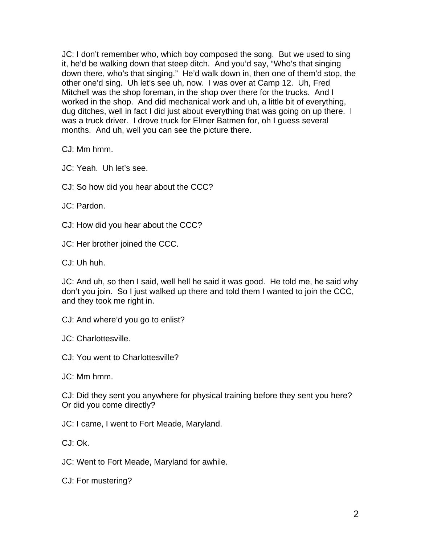JC: I don't remember who, which boy composed the song. But we used to sing it, he'd be walking down that steep ditch. And you'd say, "Who's that singing down there, who's that singing." He'd walk down in, then one of them'd stop, the other one'd sing. Uh let's see uh, now. I was over at Camp 12. Uh, Fred Mitchell was the shop foreman, in the shop over there for the trucks. And I worked in the shop. And did mechanical work and uh, a little bit of everything, dug ditches, well in fact I did just about everything that was going on up there. I was a truck driver. I drove truck for Elmer Batmen for, oh I guess several months. And uh, well you can see the picture there.

CJ: Mm hmm.

JC: Yeah. Uh let's see.

CJ: So how did you hear about the CCC?

JC: Pardon.

CJ: How did you hear about the CCC?

JC: Her brother joined the CCC.

CJ: Uh huh.

JC: And uh, so then I said, well hell he said it was good. He told me, he said why don't you join. So I just walked up there and told them I wanted to join the CCC, and they took me right in.

CJ: And where'd you go to enlist?

JC: Charlottesville.

CJ: You went to Charlottesville?

JC: Mm hmm.

CJ: Did they sent you anywhere for physical training before they sent you here? Or did you come directly?

JC: I came, I went to Fort Meade, Maryland.

CJ: Ok.

JC: Went to Fort Meade, Maryland for awhile.

CJ: For mustering?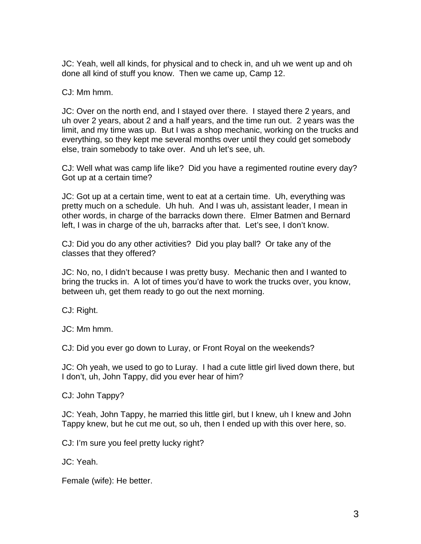JC: Yeah, well all kinds, for physical and to check in, and uh we went up and oh done all kind of stuff you know. Then we came up, Camp 12.

CJ: Mm hmm.

JC: Over on the north end, and I stayed over there. I stayed there 2 years, and uh over 2 years, about 2 and a half years, and the time run out. 2 years was the limit, and my time was up. But I was a shop mechanic, working on the trucks and everything, so they kept me several months over until they could get somebody else, train somebody to take over. And uh let's see, uh.

CJ: Well what was camp life like? Did you have a regimented routine every day? Got up at a certain time?

JC: Got up at a certain time, went to eat at a certain time. Uh, everything was pretty much on a schedule. Uh huh. And I was uh, assistant leader, I mean in other words, in charge of the barracks down there. Elmer Batmen and Bernard left, I was in charge of the uh, barracks after that. Let's see, I don't know.

CJ: Did you do any other activities? Did you play ball? Or take any of the classes that they offered?

JC: No, no, I didn't because I was pretty busy. Mechanic then and I wanted to bring the trucks in. A lot of times you'd have to work the trucks over, you know, between uh, get them ready to go out the next morning.

CJ: Right.

JC: Mm hmm.

CJ: Did you ever go down to Luray, or Front Royal on the weekends?

JC: Oh yeah, we used to go to Luray. I had a cute little girl lived down there, but I don't, uh, John Tappy, did you ever hear of him?

CJ: John Tappy?

JC: Yeah, John Tappy, he married this little girl, but I knew, uh I knew and John Tappy knew, but he cut me out, so uh, then I ended up with this over here, so.

CJ: I'm sure you feel pretty lucky right?

JC: Yeah.

Female (wife): He better.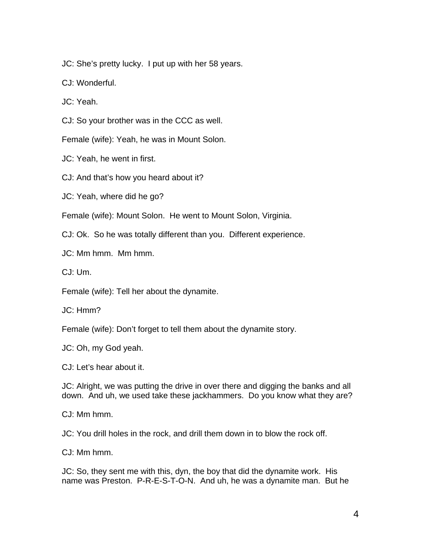JC: She's pretty lucky. I put up with her 58 years.

CJ: Wonderful.

JC: Yeah.

CJ: So your brother was in the CCC as well.

Female (wife): Yeah, he was in Mount Solon.

JC: Yeah, he went in first.

CJ: And that's how you heard about it?

JC: Yeah, where did he go?

Female (wife): Mount Solon. He went to Mount Solon, Virginia.

CJ: Ok. So he was totally different than you. Different experience.

JC: Mm hmm. Mm hmm.

CJ: Um.

Female (wife): Tell her about the dynamite.

JC: Hmm?

Female (wife): Don't forget to tell them about the dynamite story.

JC: Oh, my God yeah.

CJ: Let's hear about it.

JC: Alright, we was putting the drive in over there and digging the banks and all down. And uh, we used take these jackhammers. Do you know what they are?

CJ: Mm hmm.

JC: You drill holes in the rock, and drill them down in to blow the rock off.

CJ: Mm hmm.

JC: So, they sent me with this, dyn, the boy that did the dynamite work. His name was Preston. P-R-E-S-T-O-N. And uh, he was a dynamite man. But he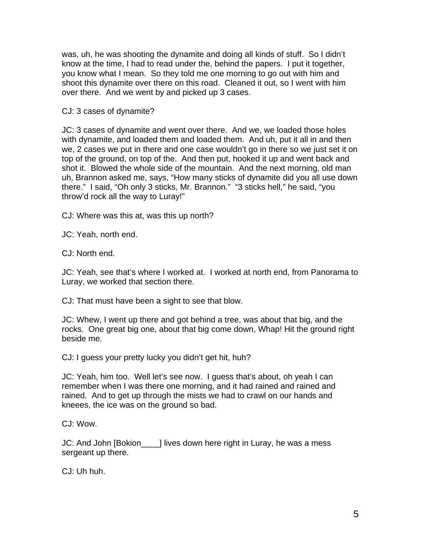was, uh, he was shooting the dynamite and doing all kinds of stuff. So I didn't know at the time, I had to read under the, behind the papers. I put it together, you know what I mean. So they told me one morning to go out with him and shoot this dynamite over there on this road. Cleaned it out, so I went with him over there. And we went by and picked up 3 cases.

CJ: 3 cases of dynamite?

JC: 3 cases of dynamite and went over there. And we, we loaded those holes with dynamite, and loaded them and loaded them. And uh, put it all in and then we, 2 cases we put in there and one case wouldn't go in there so we just set it on top of the ground, on top of the. And then put, hooked it up and went back and shot it. Blowed the whole side of the mountain. And the next morning, old man uh, Brannon asked me, says, "How many sticks of dynamite did you all use down there." I said, "Oh only 3 sticks, Mr. Brannon." "3 sticks hell," he said, "you throw'd rock all the way to Luray!"

CJ: Where was this at, was this up north?

JC: Yeah, north end.

CJ: North end.

JC: Yeah, see that's where I worked at. I worked at north end, from Panorama to Luray, we worked that section there.

CJ: That must have been a sight to see that blow.

JC: Whew, I went up there and got behind a tree, was about that big, and the rocks. One great big one, about that big come down, Whap! Hit the ground right beside me.

CJ: I guess your pretty lucky you didn't get hit, huh?

JC: Yeah, him too. Well let's see now. I guess that's about, oh yeah I can remember when I was there one morning, and it had rained and rained and rained. And to get up through the mists we had to crawl on our hands and kneees, the ice was on the ground so bad.

CJ: Wow.

JC: And John [Bokion\_\_\_\_] lives down here right in Luray, he was a mess sergeant up there.

CJ: Uh huh.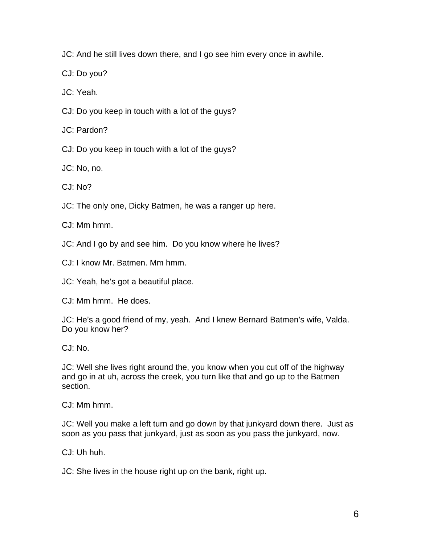JC: And he still lives down there, and I go see him every once in awhile.

CJ: Do you?

JC: Yeah.

CJ: Do you keep in touch with a lot of the guys?

JC: Pardon?

CJ: Do you keep in touch with a lot of the guys?

JC: No, no.

C.I: No?

JC: The only one, Dicky Batmen, he was a ranger up here.

CJ: Mm hmm.

JC: And I go by and see him. Do you know where he lives?

CJ: I know Mr. Batmen. Mm hmm.

JC: Yeah, he's got a beautiful place.

CJ: Mm hmm. He does.

JC: He's a good friend of my, yeah. And I knew Bernard Batmen's wife, Valda. Do you know her?

CJ: No.

JC: Well she lives right around the, you know when you cut off of the highway and go in at uh, across the creek, you turn like that and go up to the Batmen section.

CJ: Mm hmm.

JC: Well you make a left turn and go down by that junkyard down there. Just as soon as you pass that junkyard, just as soon as you pass the junkyard, now.

CJ: Uh huh.

JC: She lives in the house right up on the bank, right up.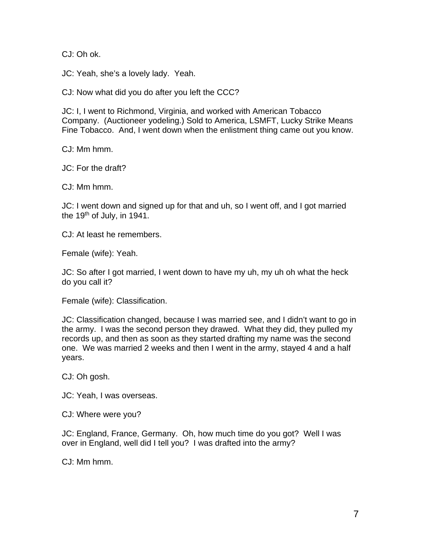CJ: Oh ok.

JC: Yeah, she's a lovely lady. Yeah.

CJ: Now what did you do after you left the CCC?

JC: I, I went to Richmond, Virginia, and worked with American Tobacco Company. (Auctioneer yodeling.) Sold to America, LSMFT, Lucky Strike Means Fine Tobacco. And, I went down when the enlistment thing came out you know.

CJ: Mm hmm.

JC: For the draft?

CJ: Mm hmm.

JC: I went down and signed up for that and uh, so I went off, and I got married the 19<sup>th</sup> of July, in 1941.

CJ: At least he remembers.

Female (wife): Yeah.

JC: So after I got married, I went down to have my uh, my uh oh what the heck do you call it?

Female (wife): Classification.

JC: Classification changed, because I was married see, and I didn't want to go in the army. I was the second person they drawed. What they did, they pulled my records up, and then as soon as they started drafting my name was the second one. We was married 2 weeks and then I went in the army, stayed 4 and a half years.

CJ: Oh gosh.

JC: Yeah, I was overseas.

CJ: Where were you?

JC: England, France, Germany. Oh, how much time do you got? Well I was over in England, well did I tell you? I was drafted into the army?

CJ: Mm hmm.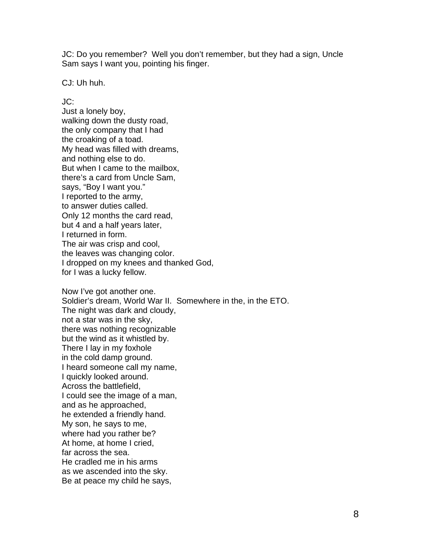JC: Do you remember? Well you don't remember, but they had a sign, Uncle Sam says I want you, pointing his finger.

CJ: Uh huh.

## JC:

Just a lonely boy, walking down the dusty road, the only company that I had the croaking of a toad. My head was filled with dreams, and nothing else to do. But when I came to the mailbox, there's a card from Uncle Sam, says, "Boy I want you." I reported to the army, to answer duties called. Only 12 months the card read, but 4 and a half years later, I returned in form. The air was crisp and cool, the leaves was changing color. I dropped on my knees and thanked God, for I was a lucky fellow.

Now I've got another one. Soldier's dream, World War II. Somewhere in the, in the ETO. The night was dark and cloudy, not a star was in the sky, there was nothing recognizable but the wind as it whistled by. There I lay in my foxhole in the cold damp ground. I heard someone call my name, I quickly looked around. Across the battlefield, I could see the image of a man, and as he approached, he extended a friendly hand. My son, he says to me, where had you rather be? At home, at home I cried, far across the sea. He cradled me in his arms as we ascended into the sky. Be at peace my child he says,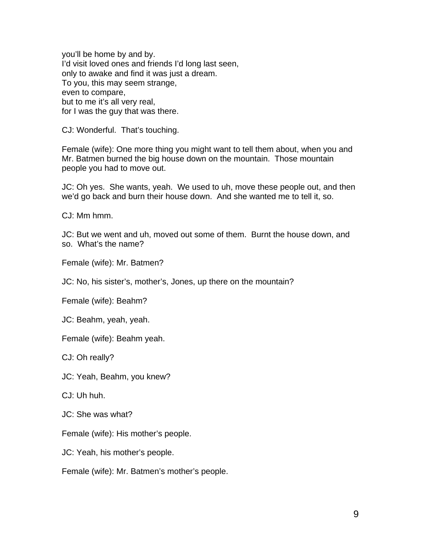you'll be home by and by. I'd visit loved ones and friends I'd long last seen, only to awake and find it was just a dream. To you, this may seem strange, even to compare, but to me it's all very real, for I was the guy that was there.

CJ: Wonderful. That's touching.

Female (wife): One more thing you might want to tell them about, when you and Mr. Batmen burned the big house down on the mountain. Those mountain people you had to move out.

JC: Oh yes. She wants, yeah. We used to uh, move these people out, and then we'd go back and burn their house down. And she wanted me to tell it, so.

CJ: Mm hmm.

JC: But we went and uh, moved out some of them. Burnt the house down, and so. What's the name?

Female (wife): Mr. Batmen?

JC: No, his sister's, mother's, Jones, up there on the mountain?

Female (wife): Beahm?

JC: Beahm, yeah, yeah.

Female (wife): Beahm yeah.

CJ: Oh really?

JC: Yeah, Beahm, you knew?

CJ: Uh huh.

JC: She was what?

Female (wife): His mother's people.

JC: Yeah, his mother's people.

Female (wife): Mr. Batmen's mother's people.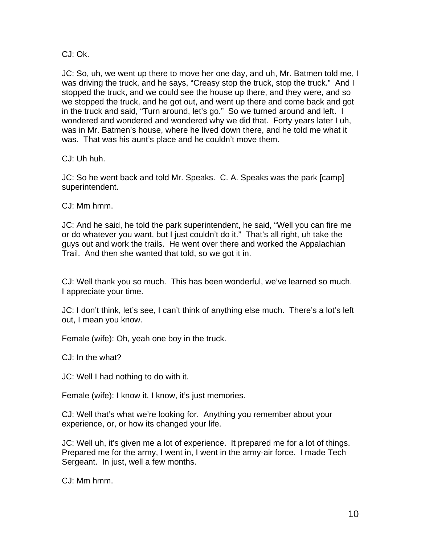CJ: Ok.

JC: So, uh, we went up there to move her one day, and uh, Mr. Batmen told me, I was driving the truck, and he says, "Creasy stop the truck, stop the truck." And I stopped the truck, and we could see the house up there, and they were, and so we stopped the truck, and he got out, and went up there and come back and got in the truck and said, "Turn around, let's go." So we turned around and left. I wondered and wondered and wondered why we did that. Forty years later I uh, was in Mr. Batmen's house, where he lived down there, and he told me what it was. That was his aunt's place and he couldn't move them.

CJ: Uh huh.

JC: So he went back and told Mr. Speaks. C. A. Speaks was the park [camp] superintendent.

CJ: Mm hmm.

JC: And he said, he told the park superintendent, he said, "Well you can fire me or do whatever you want, but I just couldn't do it." That's all right, uh take the guys out and work the trails. He went over there and worked the Appalachian Trail. And then she wanted that told, so we got it in.

CJ: Well thank you so much. This has been wonderful, we've learned so much. I appreciate your time.

JC: I don't think, let's see, I can't think of anything else much. There's a lot's left out, I mean you know.

Female (wife): Oh, yeah one boy in the truck.

CJ: In the what?

JC: Well I had nothing to do with it.

Female (wife): I know it, I know, it's just memories.

CJ: Well that's what we're looking for. Anything you remember about your experience, or, or how its changed your life.

JC: Well uh, it's given me a lot of experience. It prepared me for a lot of things. Prepared me for the army, I went in, I went in the army-air force. I made Tech Sergeant. In just, well a few months.

CJ: Mm hmm.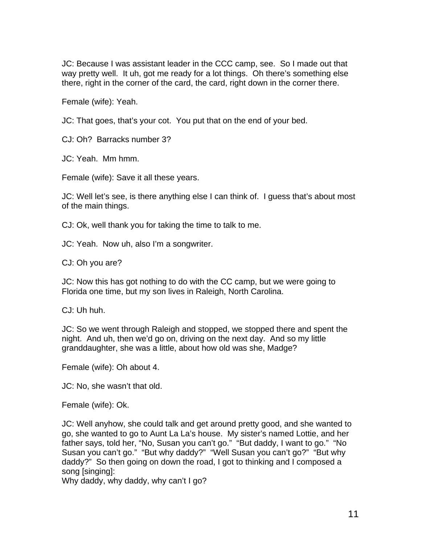JC: Because I was assistant leader in the CCC camp, see. So I made out that way pretty well. It uh, got me ready for a lot things. Oh there's something else there, right in the corner of the card, the card, right down in the corner there.

Female (wife): Yeah.

JC: That goes, that's your cot. You put that on the end of your bed.

CJ: Oh? Barracks number 3?

JC: Yeah. Mm hmm.

Female (wife): Save it all these years.

JC: Well let's see, is there anything else I can think of. I guess that's about most of the main things.

CJ: Ok, well thank you for taking the time to talk to me.

JC: Yeah. Now uh, also I'm a songwriter.

CJ: Oh you are?

JC: Now this has got nothing to do with the CC camp, but we were going to Florida one time, but my son lives in Raleigh, North Carolina.

CJ: Uh huh.

JC: So we went through Raleigh and stopped, we stopped there and spent the night. And uh, then we'd go on, driving on the next day. And so my little granddaughter, she was a little, about how old was she, Madge?

Female (wife): Oh about 4.

JC: No, she wasn't that old.

Female (wife): Ok.

JC: Well anyhow, she could talk and get around pretty good, and she wanted to go, she wanted to go to Aunt La La's house. My sister's named Lottie, and her father says, told her, "No, Susan you can't go." "But daddy, I want to go." "No Susan you can't go." "But why daddy?" "Well Susan you can't go?" "But why daddy?" So then going on down the road, I got to thinking and I composed a song [singing]:

Why daddy, why daddy, why can't I go?